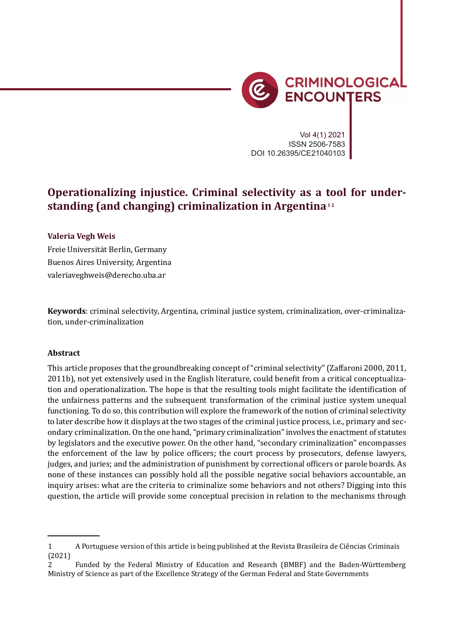

*Criminology in Latin America* 13

Vol 4(1) 2021 ISSN 2506-7583 DOI 10.26395/CE21040103

# **Operationalizing injustice. Criminal selectivity as a tool for understanding (and changing) criminalization in Argentina**<sup>12</sup>

#### **Valeria Vegh Weis**

Freie Universität Berlin, Germany Buenos Aires University, Argentina valeriaveghweis@derecho.uba.ar

**Keywords**: criminal selectivity, Argentina, criminal justice system, criminalization, over-criminalization, under-criminalization

#### **Abstract**

This article proposes that the groundbreaking concept of "criminal selectivity" (Zaffaroni 2000, 2011, 2011b), not yet extensively used in the English literature, could benefit from a critical conceptualization and operationalization. The hope is that the resulting tools might facilitate the identi�ication of the unfairness patterns and the subsequent transformation of the criminal justice system unequal functioning. To do so, this contribution will explore the framework of the notion of criminal selectivity to later describe how it displays at the two stages of the criminal justice process, i.e., primary and secondary criminalization. On the one hand, "primary criminalization" involves the enactment of statutes by legislators and the executive power. On the other hand, "secondary criminalization" encompasses the enforcement of the law by police of�icers; the court process by prosecutors, defense lawyers, judges, and juries; and the administration of punishment by correctional officers or parole boards. As none of these instances can possibly hold all the possible negative social behaviors accountable, an inquiry arises: what are the criteria to criminalize some behaviors and not others? Digging into this question, the article will provide some conceptual precision in relation to the mechanisms through

<sup>1</sup> A Portuguese version of this article is being published at the Revista Brasileira de Ciências Criminais (2021)

<sup>2</sup> Funded by the Federal Ministry of Education and Research (BMBF) and the Baden-Württemberg Ministry of Science as part of the Excellence Strategy of the German Federal and State Governments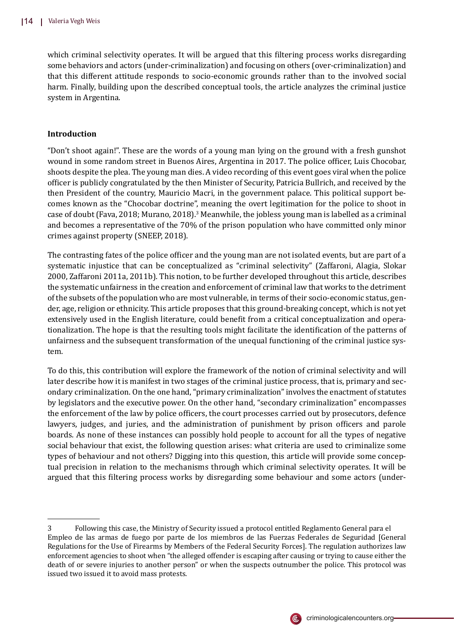which criminal selectivity operates. It will be argued that this filtering process works disregarding some behaviors and actors (under-criminalization) and focusing on others (over-criminalization) and that this different attitude responds to socio-economic grounds rather than to the involved social harm. Finally, building upon the described conceptual tools, the article analyzes the criminal justice system in Argentina.

## **Introduction**

"Don't shoot again!". These are the words of a young man lying on the ground with a fresh gunshot wound in some random street in Buenos Aires, Argentina in 2017. The police officer, Luis Chocobar, shoots despite the plea. The young man dies. A video recording of this event goes viral when the police of�icer is publicly congratulated by the then Minister of Security, Patricia Bullrich, and received by the then President of the country, Mauricio Macri, in the government palace. This political support becomes known as the "Chocobar doctrine", meaning the overt legitimation for the police to shoot in case of doubt (Fava, 2018; Murano, 2018).<sup>3</sup> Meanwhile, the jobless young man is labelled as a criminal and becomes a representative of the 70% of the prison population who have committed only minor crimes against property (SNEEP, 2018).

The contrasting fates of the police officer and the young man are not isolated events, but are part of a systematic injustice that can be conceptualized as "criminal selectivity" (Zaffaroni, Alagia, Slokar 2000, Zaffaroni 2011a, 2011b). This notion, to be further developed throughout this article, describes the systematic unfairness in the creation and enforcement of criminal law that works to the detriment of the subsets of the population who are most vulnerable, in terms of their socio-economic status, gender, age, religion or ethnicity. This article proposes that this ground-breaking concept, which is not yet extensively used in the English literature, could benefit from a critical conceptualization and operationalization. The hope is that the resulting tools might facilitate the identi�ication of the patterns of unfairness and the subsequent transformation of the unequal functioning of the criminal justice system.

To do this, this contribution will explore the framework of the notion of criminal selectivity and will later describe how it is manifest in two stages of the criminal justice process, that is, primary and secondary criminalization. On the one hand, "primary criminalization" involves the enactment of statutes by legislators and the executive power. On the other hand, "secondary criminalization" encompasses the enforcement of the law by police officers, the court processes carried out by prosecutors, defence lawyers, judges, and juries, and the administration of punishment by prison officers and parole boards. As none of these instances can possibly hold people to account for all the types of negative social behaviour that exist, the following question arises: what criteria are used to criminalize some types of behaviour and not others? Digging into this question, this article will provide some conceptual precision in relation to the mechanisms through which criminal selectivity operates. It will be argued that this �iltering process works by disregarding some behaviour and some actors (under-



<sup>3</sup> Following this case, the Ministry of Security issued a protocol entitled Reglamento General para el Empleo de las armas de fuego por parte de los miembros de las Fuerzas Federales de Seguridad [General Regulations for the Use of Firearms by Members of the Federal Security Forces]. The regulation authorizes law enforcement agencies to shoot when "the alleged offender is escaping after causing or trying to cause either the death of or severe injuries to another person" or when the suspects outnumber the police. This protocol was issued two issued it to avoid mass protests.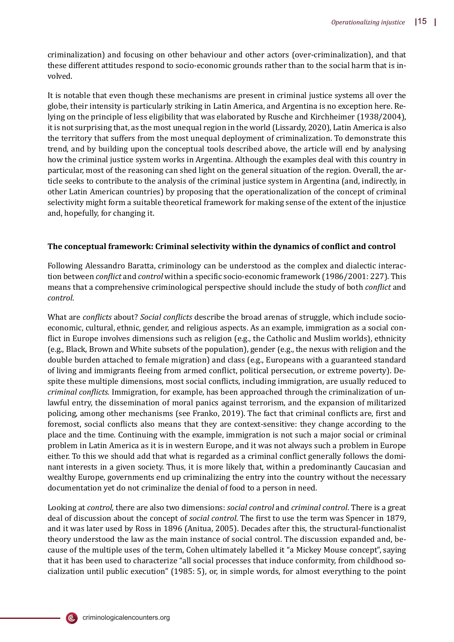criminalization) and focusing on other behaviour and other actors (over-criminalization), and that these different attitudes respond to socio-economic grounds rather than to the social harm that is involved.

It is notable that even though these mechanisms are present in criminal justice systems all over the globe, their intensity is particularly striking in Latin America, and Argentina is no exception here. Relying on the principle of less eligibility that was elaborated by Rusche and Kirchheimer (1938/2004), it is not surprising that, as the most unequal region in the world (Lissardy, 2020), Latin America is also the territory that suffers from the most unequal deployment of criminalization. To demonstrate this trend, and by building upon the conceptual tools described above, the article will end by analysing how the criminal justice system works in Argentina. Although the examples deal with this country in particular, most of the reasoning can shed light on the general situation of the region. Overall, the article seeks to contribute to the analysis of the criminal justice system in Argentina (and, indirectly, in other Latin American countries) by proposing that the operationalization of the concept of criminal selectivity might form a suitable theoretical framework for making sense of the extent of the injustice and, hopefully, for changing it.

## **The conceptual framework: Criminal selectivity within the dynamics of con�lict and control**

Following Alessandro Baratta, criminology can be understood as the complex and dialectic interaction between *conflict* and *control* within a specific socio-economic framework (1986/2001: 227). This means that a comprehensive criminological perspective should include the study of both *con�lict* and *control*.

What are *conflicts* about? *Social conflicts* describe the broad arenas of struggle, which include socioeconomic, cultural, ethnic, gender, and religious aspects. As an example, immigration as a social con flict in Europe involves dimensions such as religion (e.g., the Catholic and Muslim worlds), ethnicity (e.g., Black, Brown and White subsets of the population), gender (e.g., the nexus with religion and the double burden attached to female migration) and class (e.g., Europeans with a guaranteed standard of living and immigrants fleeing from armed conflict, political persecution, or extreme poverty). Despite these multiple dimensions, most social conflicts, including immigration, are usually reduced to *criminal con�licts.* Immigration, for example, has been approached through the criminalization of unlawful entry, the dissemination of moral panics against terrorism, and the expansion of militarized policing, among other mechanisms (see Franko, 2019). The fact that criminal conflicts are, first and foremost, social conflicts also means that they are context-sensitive: they change according to the place and the time. Continuing with the example, immigration is not such a major social or criminal problem in Latin America as it is in western Europe, and it was not always such a problem in Europe either. To this we should add that what is regarded as a criminal conflict generally follows the dominant interests in a given society. Thus, it is more likely that, within a predominantly Caucasian and wealthy Europe, governments end up criminalizing the entry into the country without the necessary documentation yet do not criminalize the denial of food to a person in need.

Looking at *control,* there are also two dimensions: *social control* and *criminal control*. There is a great deal of discussion about the concept of *social control*. The first to use the term was Spencer in 1879, and it was later used by Ross in 1896 (Anitua, 2005). Decades after this, the structural-functionalist theory understood the law as the main instance of social control. The discussion expanded and, because of the multiple uses of the term, Cohen ultimately labelled it "a Mickey Mouse concept", saying that it has been used to characterize "all social processes that induce conformity, from childhood socialization until public execution" (1985: 5), or, in simple words, for almost everything to the point

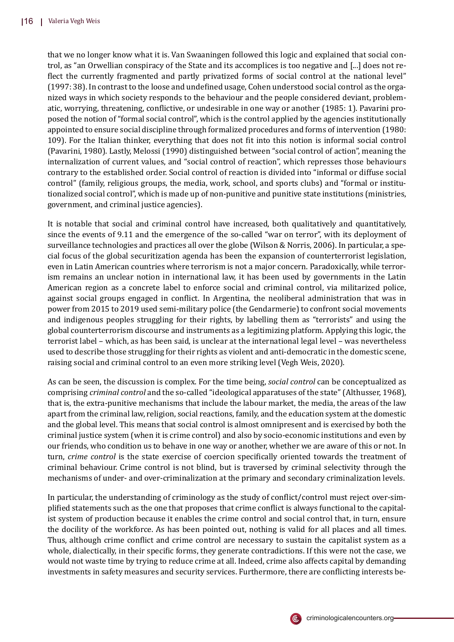that we no longer know what it is. Van Swaaningen followed this logic and explained that social control, as "an Orwellian conspiracy of the State and its accomplices is too negative and [...] does not re flect the currently fragmented and partly privatized forms of social control at the national level"  $(1997: 38)$ . In contrast to the loose and undefined usage, Cohen understood social control as the organized ways in which society responds to the behaviour and the people considered deviant, problematic, worrying, threatening, conflictive, or undesirable in one way or another (1985: 1). Pavarini proposed the notion of "formal social control", which is the control applied by the agencies institutionally appointed to ensure social discipline through formalized procedures and forms of intervention (1980: 109). For the Italian thinker, everything that does not �it into this notion is informal social control (Pavarini, 1980). Lastly, Melossi (1990) distinguished between "social control of action", meaning the internalization of current values, and "social control of reaction", which represses those behaviours contrary to the established order. Social control of reaction is divided into "informal or diffuse social control" (family, religious groups, the media, work, school, and sports clubs) and "formal or institutionalized social control", which is made up of non-punitive and punitive state institutions (ministries, government, and criminal justice agencies).

It is notable that social and criminal control have increased, both qualitatively and quantitatively, since the events of 9.11 and the emergence of the so-called "war on terror", with its deployment of surveillance technologies and practices all over the globe (Wilson & Norris, 2006). In particular, a special focus of the global securitization agenda has been the expansion of counterterrorist legislation, even in Latin American countries where terrorism is not a major concern. Paradoxically, while terrorism remains an unclear notion in international law, it has been used by governments in the Latin American region as a concrete label to enforce social and criminal control, via militarized police, against social groups engaged in con�lict. In Argentina, the neoliberal administration that was in power from 2015 to 2019 used semi-military police (the Gendarmerie) to confront social movements and indigenous peoples struggling for their rights, by labelling them as "terrorists" and using the global counterterrorism discourse and instruments as a legitimizing platform. Applying this logic, the terrorist label – which, as has been said, is unclear at the international legal level – was nevertheless used to describe those struggling for their rights as violent and anti-democratic in the domestic scene, raising social and criminal control to an even more striking level (Vegh Weis, 2020).

As can be seen, the discussion is complex. For the time being, *social control* can be conceptualized as comprising *criminal control* and the so-called "ideological apparatuses of the state" (Althusser, 1968), that is, the extra-punitive mechanisms that include the labour market, the media, the areas of the law apart from the criminal law, religion, social reactions, family, and the education system at the domestic and the global level. This means that social control is almost omnipresent and is exercised by both the criminal justice system (when it is crime control) and also by socio-economic institutions and even by our friends, who condition us to behave in one way or another, whether we are aware of this or not. In turn, *crime control* is the state exercise of coercion speci�ically oriented towards the treatment of criminal behaviour. Crime control is not blind, but is traversed by criminal selectivity through the mechanisms of under- and over-criminalization at the primary and secondary criminalization levels.

In particular, the understanding of criminology as the study of conflict/control must reject over-simplified statements such as the one that proposes that crime conflict is always functional to the capitalist system of production because it enables the crime control and social control that, in turn, ensure the docility of the workforce. As has been pointed out, nothing is valid for all places and all times. Thus, although crime conflict and crime control are necessary to sustain the capitalist system as a whole, dialectically, in their specific forms, they generate contradictions. If this were not the case, we would not waste time by trying to reduce crime at all. Indeed, crime also affects capital by demanding investments in safety measures and security services. Furthermore, there are conflicting interests be-

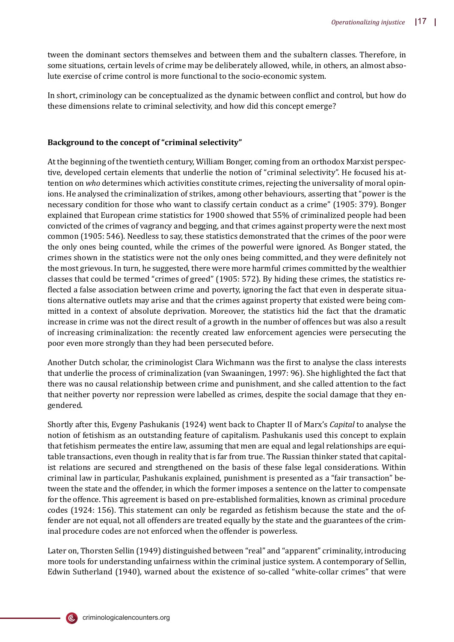tween the dominant sectors themselves and between them and the subaltern classes. Therefore, in some situations, certain levels of crime may be deliberately allowed, while, in others, an almost absolute exercise of crime control is more functional to the socio-economic system.

In short, criminology can be conceptualized as the dynamic between conflict and control, but how do these dimensions relate to criminal selectivity, and how did this concept emerge?

## **Background to the concept of "criminal selectivity"**

At the beginning of the twentieth century, William Bonger, coming from an orthodox Marxist perspective, developed certain elements that underlie the notion of "criminal selectivity". He focused his attention on *who* determines which activities constitute crimes, rejecting the universality of moral opinions. He analysed the criminalization of strikes, among other behaviours, asserting that "power is the necessary condition for those who want to classify certain conduct as a crime" (1905: 379). Bonger explained that European crime statistics for 1900 showed that 55% of criminalized people had been convicted of the crimes of vagrancy and begging, and that crimes against property were the next most common (1905: 546). Needless to say, these statistics demonstrated that the crimes of the poor were the only ones being counted, while the crimes of the powerful were ignored. As Bonger stated, the crimes shown in the statistics were not the only ones being committed, and they were de�initely not the most grievous. In turn, he suggested, there were more harmful crimes committed by the wealthier classes that could be termed "crimes of greed" (1905: 572). By hiding these crimes, the statistics re flected a false association between crime and poverty, ignoring the fact that even in desperate situations alternative outlets may arise and that the crimes against property that existed were being committed in a context of absolute deprivation. Moreover, the statistics hid the fact that the dramatic increase in crime was not the direct result of a growth in the number of offences but was also a result of increasing criminalization: the recently created law enforcement agencies were persecuting the poor even more strongly than they had been persecuted before.

Another Dutch scholar, the criminologist Clara Wichmann was the �irst to analyse the class interests that underlie the process of criminalization (van Swaaningen, 1997: 96). She highlighted the fact that there was no causal relationship between crime and punishment, and she called attention to the fact that neither poverty nor repression were labelled as crimes, despite the social damage that they engendered.

Shortly after this, Evgeny Pashukanis (1924) went back to Chapter II of Marx's *Capital* to analyse the notion of fetishism as an outstanding feature of capitalism. Pashukanis used this concept to explain that fetishism permeates the entire law, assuming that men are equal and legal relationships are equitable transactions, even though in reality that is far from true. The Russian thinker stated that capitalist relations are secured and strengthened on the basis of these false legal considerations. Within criminal law in particular, Pashukanis explained, punishment is presented as a "fair transaction" between the state and the offender, in which the former imposes a sentence on the latter to compensate for the offence. This agreement is based on pre-established formalities, known as criminal procedure codes (1924: 156). This statement can only be regarded as fetishism because the state and the offender are not equal, not all offenders are treated equally by the state and the guarantees of the criminal procedure codes are not enforced when the offender is powerless.

Later on, Thorsten Sellin (1949) distinguished between "real" and "apparent" criminality, introducing more tools for understanding unfairness within the criminal justice system. A contemporary of Sellin, Edwin Sutherland (1940), warned about the existence of so-called "white-collar crimes" that were

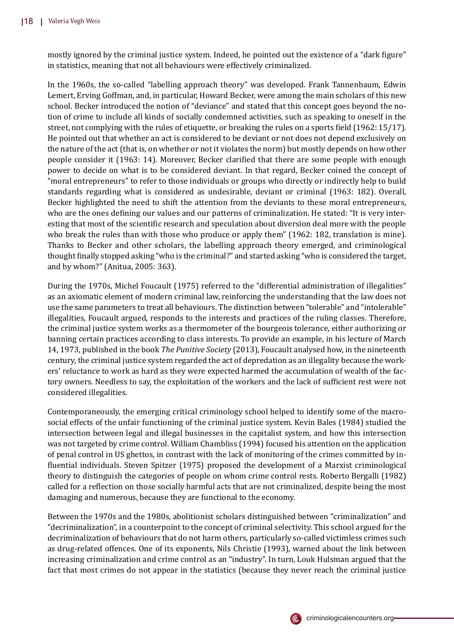mostly ignored by the criminal justice system. Indeed, he pointed out the existence of a "dark figure" in statistics, meaning that not all behaviours were effectively criminalized.

In the 1960s, the so-called "labelling approach theory" was developed. Frank Tannenbaum, Edwin Lemert, Erving Goffman, and, in particular, Howard Becker, were among the main scholars of this new school. Becker introduced the notion of "deviance" and stated that this concept goes beyond the notion of crime to include all kinds of socially condemned activities, such as speaking to oneself in the street, not complying with the rules of etiquette, or breaking the rules on a sports field (1962: 15/17). He pointed out that whether an act is considered to be deviant or not does not depend exclusively on the nature of the act (that is, on whether or not it violates the norm) but mostly depends on how other people consider it (1963: 14). Moreover, Becker clari�ied that there are some people with enough power to decide on what is to be considered deviant. In that regard, Becker coined the concept of "moral entrepreneurs" to refer to those individuals or groups who directly or indirectly help to build standards regarding what is considered as undesirable, deviant or criminal (1963: 182). Overall, Becker highlighted the need to shift the attention from the deviants to these moral entrepreneurs, who are the ones defining our values and our patterns of criminalization. He stated: "It is very interesting that most of the scientific research and speculation about diversion deal more with the people who break the rules than with those who produce or apply them" (1962: 182, translation is mine). Thanks to Becker and other scholars, the labelling approach theory emerged, and criminological thought �inally stopped asking "who is the criminal?" and started asking "who is considered the target, and by whom?" (Anitua, 2005: 363).

During the 1970s, Michel Foucault (1975) referred to the "differential administration of illegalities" as an axiomatic element of modern criminal law, reinforcing the understanding that the law does not use the same parameters to treat all behaviours. The distinction between "tolerable" and "intolerable" illegalities, Foucault argued, responds to the interests and practices of the ruling classes. Therefore, the criminal justice system works as a thermometer of the bourgeois tolerance, either authorizing or banning certain practices according to class interests. To provide an example, in his lecture of March 14, 1973, published in the book *The Punitive Society* (2013), Foucault analysed how, in the nineteenth century, the criminal justice system regarded the act of depredation as an illegality because the workers' reluctance to work as hard as they were expected harmed the accumulation of wealth of the factory owners. Needless to say, the exploitation of the workers and the lack of suf�icient rest were not considered illegalities.

Contemporaneously, the emerging critical criminology school helped to identify some of the macrosocial effects of the unfair functioning of the criminal justice system. Kevin Bales (1984) studied the intersection between legal and illegal businesses in the capitalist system, and how this intersection was not targeted by crime control. William Chambliss (1994) focused his attention on the application of penal control in US ghettos, in contrast with the lack of monitoring of the crimes committed by in- �luential individuals. Steven Spitzer (1975) proposed the development of a Marxist criminological theory to distinguish the categories of people on whom crime control rests. Roberto Bergalli (1982) called for a reflection on those socially harmful acts that are not criminalized, despite being the most damaging and numerous, because they are functional to the economy.

Between the 1970s and the 1980s, abolitionist scholars distinguished between "criminalization" and "decriminalization", in a counterpoint to the concept of criminal selectivity. This school argued for the decriminalization of behaviours that do not harm others, particularly so-called victimless crimes such as drug-related offences. One of its exponents, Nils Christie (1993), warned about the link between increasing criminalization and crime control as an "industry". In turn, Louk Hulsman argued that the fact that most crimes do not appear in the statistics (because they never reach the criminal justice

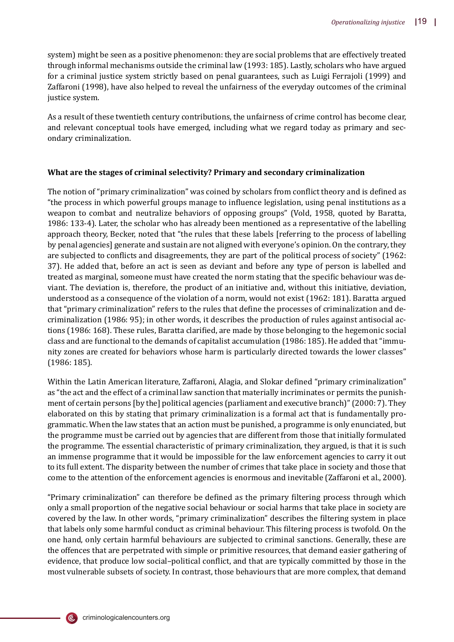system) might be seen as a positive phenomenon: they are social problems that are effectively treated through informal mechanisms outside the criminal law (1993: 185). Lastly, scholars who have argued for a criminal justice system strictly based on penal guarantees, such as Luigi Ferrajoli (1999) and Zaffaroni (1998), have also helped to reveal the unfairness of the everyday outcomes of the criminal justice system.

As a result of these twentieth century contributions, the unfairness of crime control has become clear, and relevant conceptual tools have emerged, including what we regard today as primary and secondary criminalization.

#### **What are the stages of criminal selectivity? Primary and secondary criminalization**

The notion of "primary criminalization" was coined by scholars from conflict theory and is defined as "the process in which powerful groups manage to in�luence legislation, using penal institutions as a weapon to combat and neutralize behaviors of opposing groups" (Vold, 1958, quoted by Baratta, 1986: 133-4). Later, the scholar who has already been mentioned as a representative of the labelling approach theory, Becker, noted that "the rules that these labels [referring to the process of labelling by penal agencies] generate and sustain are not aligned with everyone's opinion. On the contrary, they are subjected to conflicts and disagreements, they are part of the political process of society" (1962: 37). He added that, before an act is seen as deviant and before any type of person is labelled and treated as marginal, someone must have created the norm stating that the speci�ic behaviour was deviant. The deviation is, therefore, the product of an initiative and, without this initiative, deviation, understood as a consequence of the violation of a norm, would not exist (1962: 181). Baratta argued that "primary criminalization" refers to the rules that define the processes of criminalization and decriminalization (1986: 95); in other words, it describes the production of rules against antisocial actions (1986: 168). These rules, Baratta clari�ied, are made by those belonging to the hegemonic social class and are functional to the demands of capitalist accumulation (1986: 185). He added that "immunity zones are created for behaviors whose harm is particularly directed towards the lower classes" (1986: 185).

Within the Latin American literature, Zaffaroni, Alagia, and Slokar defined "primary criminalization" as "the act and the effect of a criminal law sanction that materially incriminates or permits the punishment of certain persons [by the] political agencies (parliament and executive branch)" (2000: 7). They elaborated on this by stating that primary criminalization is a formal act that is fundamentally programmatic. When the law states that an action must be punished, a programme is only enunciated, but the programme must be carried out by agencies that are different from those that initially formulated the programme. The essential characteristic of primary criminalization, they argued, is that it is such an immense programme that it would be impossible for the law enforcement agencies to carry it out to its full extent. The disparity between the number of crimes that take place in society and those that come to the attention of the enforcement agencies is enormous and inevitable (Zaffaroni et al., 2000).

"Primary criminalization" can therefore be defined as the primary filtering process through which only a small proportion of the negative social behaviour or social harms that take place in society are covered by the law. In other words, "primary criminalization" describes the �iltering system in place that labels only some harmful conduct as criminal behaviour. This filtering process is twofold. On the one hand, only certain harmful behaviours are subjected to criminal sanctions. Generally, these are the offences that are perpetrated with simple or primitive resources, that demand easier gathering of evidence, that produce low social–political conflict, and that are typically committed by those in the most vulnerable subsets of society. In contrast, those behaviours that are more complex, that demand

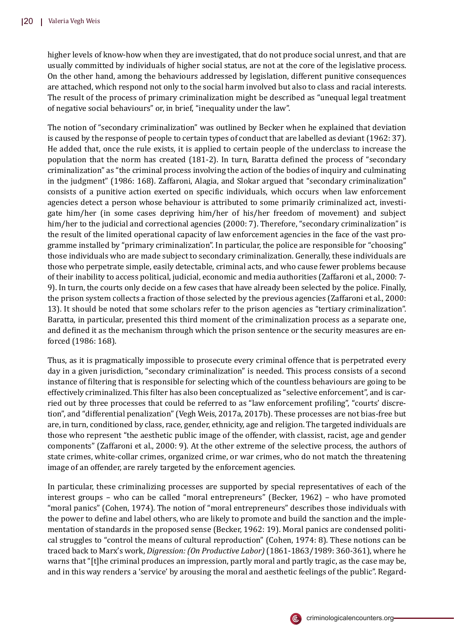higher levels of know-how when they are investigated, that do not produce social unrest, and that are usually committed by individuals of higher social status, are not at the core of the legislative process. On the other hand, among the behaviours addressed by legislation, different punitive consequences are attached, which respond not only to the social harm involved but also to class and racial interests. The result of the process of primary criminalization might be described as "unequal legal treatment of negative social behaviours" or, in brief, "inequality under the law".

The notion of "secondary criminalization" was outlined by Becker when he explained that deviation is caused by the response of people to certain types of conduct that are labelled as deviant (1962: 37). He added that, once the rule exists, it is applied to certain people of the underclass to increase the population that the norm has created (181-2). In turn, Baratta defined the process of "secondary criminalization" as "the criminal process involving the action of the bodies of inquiry and culminating in the judgment" (1986: 168). Zaffaroni, Alagia, and Slokar argued that "secondary criminalization" consists of a punitive action exerted on speci�ic individuals, which occurs when law enforcement agencies detect a person whose behaviour is attributed to some primarily criminalized act, investigate him/her (in some cases depriving him/her of his/her freedom of movement) and subject him/her to the judicial and correctional agencies (2000: 7). Therefore, "secondary criminalization" is the result of the limited operational capacity of law enforcement agencies in the face of the vast programme installed by "primary criminalization". In particular, the police are responsible for "choosing" those individuals who are made subject to secondary criminalization. Generally, these individuals are those who perpetrate simple, easily detectable, criminal acts, and who cause fewer problems because of their inability to access political, judicial, economic and media authorities (Zaffaroni et al., 2000: 7- 9). In turn, the courts only decide on a few cases that have already been selected by the police. Finally, the prison system collects a fraction of those selected by the previous agencies (Zaffaroni et al., 2000: 13). It should be noted that some scholars refer to the prison agencies as "tertiary criminalization". Baratta, in particular, presented this third moment of the criminalization process as a separate one, and defined it as the mechanism through which the prison sentence or the security measures are enforced (1986: 168).

Thus, as it is pragmatically impossible to prosecute every criminal offence that is perpetrated every day in a given jurisdiction, "secondary criminalization" is needed. This process consists of a second instance of �iltering that is responsible for selecting which of the countless behaviours are going to be effectively criminalized. This �ilter has also been conceptualized as "selective enforcement", and is carried out by three processes that could be referred to as "law enforcement pro�iling", "courts' discretion", and "differential penalization" (Vegh Weis, 2017a, 2017b). These processes are not bias-free but are, in turn, conditioned by class, race, gender, ethnicity, age and religion. The targeted individuals are those who represent "the aesthetic public image of the offender, with classist, racist, age and gender components" (Zaffaroni et al., 2000: 9). At the other extreme of the selective process, the authors of state crimes, white-collar crimes, organized crime, or war crimes, who do not match the threatening image of an offender, are rarely targeted by the enforcement agencies.

In particular, these criminalizing processes are supported by special representatives of each of the interest groups – who can be called "moral entrepreneurs" (Becker, 1962) – who have promoted "moral panics" (Cohen, 1974). The notion of "moral entrepreneurs" describes those individuals with the power to define and label others, who are likely to promote and build the sanction and the implementation of standards in the proposed sense (Becker, 1962: 19). Moral panics are condensed political struggles to "control the means of cultural reproduction" (Cohen, 1974: 8). These notions can be traced back to Marx's work, *Digression: (On Productive Labor)* (1861-1863/1989: 360-361), where he warns that "[t]he criminal produces an impression, partly moral and partly tragic, as the case may be, and in this way renders a 'service' by arousing the moral and aesthetic feelings of the public". Regard-

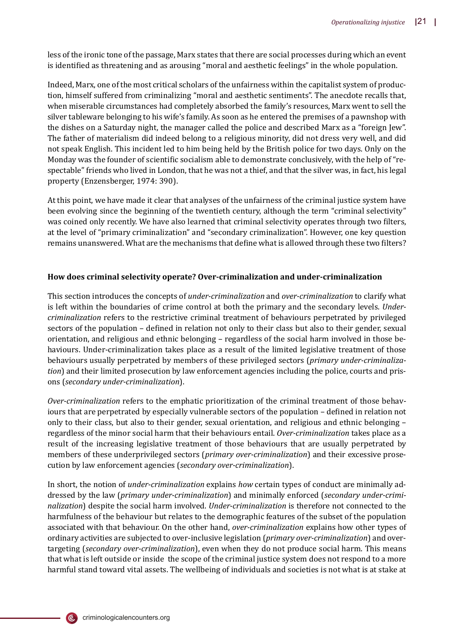less of the ironic tone of the passage, Marx states that there are social processes during which an event is identified as threatening and as arousing "moral and aesthetic feelings" in the whole population.

Indeed, Marx, one of the most critical scholars of the unfairness within the capitalist system of production, himself suffered from criminalizing "moral and aesthetic sentiments". The anecdote recalls that, when miserable circumstances had completely absorbed the family's resources, Marx went to sell the silver tableware belonging to his wife's family. As soon as he entered the premises of a pawnshop with the dishes on a Saturday night, the manager called the police and described Marx as a "foreign Jew". The father of materialism did indeed belong to a religious minority, did not dress very well, and did not speak English. This incident led to him being held by the British police for two days. Only on the Monday was the founder of scientific socialism able to demonstrate conclusively, with the help of "respectable" friends who lived in London, that he was not a thief, and that the silver was, in fact, his legal property (Enzensberger, 1974: 390).

At this point, we have made it clear that analyses of the unfairness of the criminal justice system have been evolving since the beginning of the twentieth century, although the term "criminal selectivity" was coined only recently. We have also learned that criminal selectivity operates through two filters, at the level of "primary criminalization" and "secondary criminalization". However, one key question remains unanswered. What are the mechanisms that define what is allowed through these two filters?

## **How does criminal selectivity operate? Over-criminalization and under-criminalization**

This section introduces the concepts of *under-criminalization* and *over-criminalization* to clarify what is left within the boundaries of crime control at both the primary and the secondary levels. *Undercriminalization* refers to the restrictive criminal treatment of behaviours perpetrated by privileged sectors of the population - defined in relation not only to their class but also to their gender, sexual orientation, and religious and ethnic belonging – regardless of the social harm involved in those behaviours. Under-criminalization takes place as a result of the limited legislative treatment of those behaviours usually perpetrated by members of these privileged sectors (*primary under-criminalization*) and their limited prosecution by law enforcement agencies including the police, courts and prisons (*secondary under-criminalization*).

*Over-criminalization* refers to the emphatic prioritization of the criminal treatment of those behaviours that are perpetrated by especially vulnerable sectors of the population – defined in relation not only to their class, but also to their gender, sexual orientation, and religious and ethnic belonging – regardless of the minor social harm that their behaviours entail. *Over-criminalization* takes place as a result of the increasing legislative treatment of those behaviours that are usually perpetrated by members of these underprivileged sectors (*primary over-criminalization*) and their excessive prosecution by law enforcement agencies (*secondary over-criminalization*).

In short, the notion of *under-criminalization* explains *how* certain types of conduct are minimally addressed by the law (*primary under-criminalization*) and minimally enforced (*secondary under-criminalization*) despite the social harm involved. *Under-criminalization* is therefore not connected to the harmfulness of the behaviour but relates to the demographic features of the subset of the population associated with that behaviour. On the other hand, *over-criminalization* explains how other types of ordinary activities are subjected to over-inclusive legislation (*primary over-criminalization*) and overtargeting (*secondary over-criminalization*), even when they do not produce social harm. This means that what is left outside or inside the scope of the criminal justice system does not respond to a more harmful stand toward vital assets. The wellbeing of individuals and societies is not what is at stake at

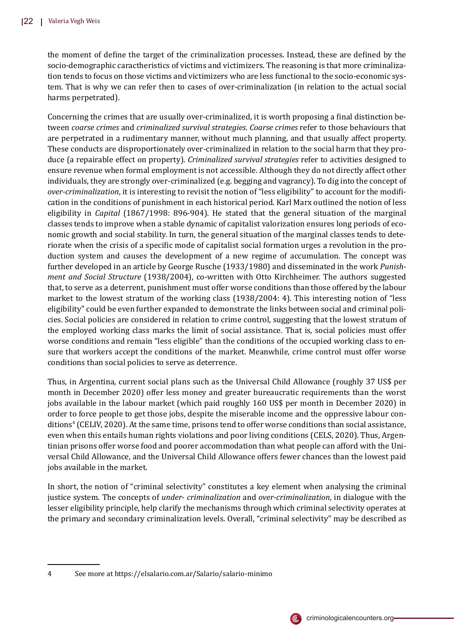the moment of define the target of the criminalization processes. Instead, these are defined by the socio-demographic caractheristics of victims and victimizers. The reasoning is that more criminalization tends to focus on those victims and victimizers who are less functional to the socio-economic system. That is why we can refer then to cases of over-criminalization (in relation to the actual social harms perpetrated).

Concerning the crimes that are usually over-criminalized, it is worth proposing a �inal distinction between *coarse crimes* and *criminalized survival strategies*. *Coarse crimes* refer to those behaviours that are perpetrated in a rudimentary manner, without much planning, and that usually affect property. These conducts are disproportionately over-criminalized in relation to the social harm that they produce (a repairable effect on property). *Criminalized survival strategies* refer to activities designed to ensure revenue when formal employment is not accessible. Although they do not directly affect other individuals, they are strongly over-criminalized (e.g. begging and vagrancy). To dig into the concept of *over-criminalization*, it is interesting to revisit the notion of "less eligibility" to account for the modification in the conditions of punishment in each historical period. Karl Marx outlined the notion of less eligibility in *Capital* (1867/1998: 896-904). He stated that the general situation of the marginal classes tends to improve when a stable dynamic of capitalist valorization ensures long periods of economic growth and social stability. In turn, the general situation of the marginal classes tends to deteriorate when the crisis of a specific mode of capitalist social formation urges a revolution in the production system and causes the development of a new regime of accumulation. The concept was further developed in an article by George Rusche (1933/1980) and disseminated in the work *Punishment and Social Structure* (1938/2004), co-written with Otto Kirchheimer. The authors suggested that, to serve as a deterrent, punishment must offer worse conditions than those offered by the labour market to the lowest stratum of the working class (1938/2004: 4). This interesting notion of "less eligibility" could be even further expanded to demonstrate the links between social and criminal policies. Social policies are considered in relation to crime control, suggesting that the lowest stratum of the employed working class marks the limit of social assistance. That is, social policies must offer worse conditions and remain "less eligible" than the conditions of the occupied working class to ensure that workers accept the conditions of the market. Meanwhile, crime control must offer worse conditions than social policies to serve as deterrence.

Thus, in Argentina, current social plans such as the Universal Child Allowance (roughly 37 US\$ per month in December 2020) offer less money and greater bureaucratic requirements than the worst jobs available in the labour market (which paid roughly 160 US\$ per month in December 2020) in order to force people to get those jobs, despite the miserable income and the oppressive labour conditions<sup>4</sup> (CELIV, 2020). At the same time, prisons tend to offer worse conditions than social assistance, even when this entails human rights violations and poor living conditions (CELS, 2020). Thus, Argentinian prisons offer worse food and poorer accommodation than what people can afford with the Universal Child Allowance, and the Universal Child Allowance offers fewer chances than the lowest paid jobs available in the market.

In short, the notion of "criminal selectivity" constitutes a key element when analysing the criminal justice system. The concepts of *under- criminalization* and *over-criminalization*, in dialogue with the lesser eligibility principle, help clarify the mechanisms through which criminal selectivity operates at the primary and secondary criminalization levels. Overall, "criminal selectivity" may be described as



<sup>4</sup> See more at https://elsalario.com.ar/Salario/salario-minimo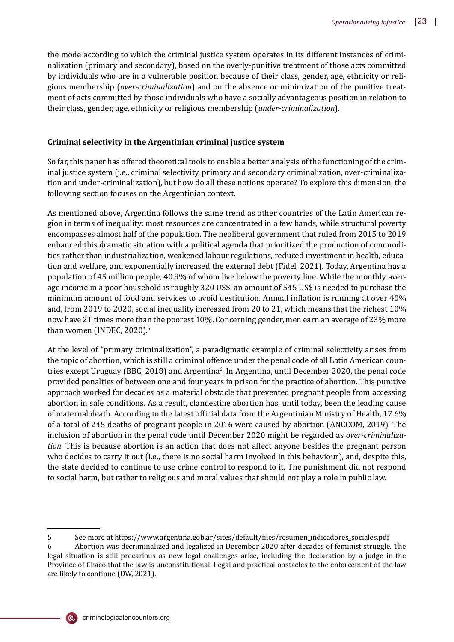the mode according to which the criminal justice system operates in its different instances of criminalization (primary and secondary), based on the overly-punitive treatment of those acts committed by individuals who are in a vulnerable position because of their class, gender, age, ethnicity or religious membership (*over-criminalization*) and on the absence or minimization of the punitive treatment of acts committed by those individuals who have a socially advantageous position in relation to their class, gender, age, ethnicity or religious membership (*under-criminalization*).

## **Criminal selectivity in the Argentinian criminal justice system**

So far, this paper has offered theoretical tools to enable a better analysis of the functioning of the criminal justice system (i.e., criminal selectivity, primary and secondary criminalization, over-criminalization and under-criminalization), but how do all these notions operate? To explore this dimension, the following section focuses on the Argentinian context.

As mentioned above, Argentina follows the same trend as other countries of the Latin American region in terms of inequality: most resources are concentrated in a few hands, while structural poverty encompasses almost half of the population. The neoliberal government that ruled from 2015 to 2019 enhanced this dramatic situation with a political agenda that prioritized the production of commodities rather than industrialization, weakened labour regulations, reduced investment in health, education and welfare, and exponentially increased the external debt (Fidel, 2021). Today, Argentina has a population of 45 million people, 40.9% of whom live below the poverty line. While the monthly average income in a poor household is roughly 320 US\$, an amount of 545 US\$ is needed to purchase the minimum amount of food and services to avoid destitution. Annual inflation is running at over 40% and, from 2019 to 2020, social inequality increased from 20 to 21, which means that the richest 10% now have 21 times more than the poorest 10%. Concerning gender, men earn an average of 23% more than women (INDEC, 2020).<sup>5</sup>

At the level of "primary criminalization", a paradigmatic example of criminal selectivity arises from the topic of abortion, which is still a criminal offence under the penal code of all Latin American countries except Uruguay (BBC, 2018) and Argentina<sup>6</sup>. In Argentina, until December 2020, the penal code provided penalties of between one and four years in prison for the practice of abortion. This punitive approach worked for decades as a material obstacle that prevented pregnant people from accessing abortion in safe conditions. As a result, clandestine abortion has, until today, been the leading cause of maternal death. According to the latest of�icial data from the Argentinian Ministry of Health, 17.6% of a total of 245 deaths of pregnant people in 2016 were caused by abortion (ANCCOM, 2019). The inclusion of abortion in the penal code until December 2020 might be regarded as *over-criminalization*. This is because abortion is an action that does not affect anyone besides the pregnant person who decides to carry it out (i.e., there is no social harm involved in this behaviour), and, despite this, the state decided to continue to use crime control to respond to it. The punishment did not respond to social harm, but rather to religious and moral values that should not play a role in public law.



<sup>5</sup> See more at https://www.argentina.gob.ar/sites/default/�iles/resumen\_indicadores\_sociales.pdf 6 Abortion was decriminalized and legalized in December 2020 after decades of feminist struggle. The legal situation is still precarious as new legal challenges arise, including the declaration by a judge in the Province of Chaco that the law is unconstitutional. Legal and practical obstacles to the enforcement of the law are likely to continue (DW, 2021).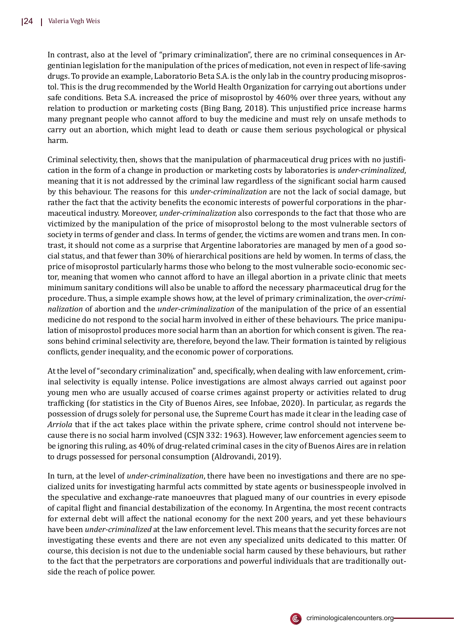In contrast, also at the level of "primary criminalization", there are no criminal consequences in Argentinian legislation for the manipulation of the prices of medication, not even in respect of life-saving drugs. To provide an example, Laboratorio Beta S.A. is the only lab in the country producing misoprostol. This is the drug recommended by the World Health Organization for carrying out abortions under safe conditions. Beta S.A. increased the price of misoprostol by 460% over three years, without any relation to production or marketing costs (Bing Bang, 2018). This unjustified price increase harms many pregnant people who cannot afford to buy the medicine and must rely on unsafe methods to carry out an abortion, which might lead to death or cause them serious psychological or physical harm.

Criminal selectivity, then, shows that the manipulation of pharmaceutical drug prices with no justification in the form of a change in production or marketing costs by laboratories is *under-criminalized*, meaning that it is not addressed by the criminal law regardless of the signi�icant social harm caused by this behaviour. The reasons for this *under-criminalization* are not the lack of social damage, but rather the fact that the activity benefits the economic interests of powerful corporations in the pharmaceutical industry. Moreover, *under-criminalization* also corresponds to the fact that those who are victimized by the manipulation of the price of misoprostol belong to the most vulnerable sectors of society in terms of gender and class. In terms of gender, the victims are women and trans men. In contrast, it should not come as a surprise that Argentine laboratories are managed by men of a good social status, and that fewer than 30% of hierarchical positions are held by women. In terms of class, the price of misoprostol particularly harms those who belong to the most vulnerable socio-economic sector, meaning that women who cannot afford to have an illegal abortion in a private clinic that meets minimum sanitary conditions will also be unable to afford the necessary pharmaceutical drug for the procedure. Thus, a simple example shows how, at the level of primary criminalization, the *over-criminalization* of abortion and the *under-criminalization* of the manipulation of the price of an essential medicine do not respond to the social harm involved in either of these behaviours. The price manipulation of misoprostol produces more social harm than an abortion for which consent is given. The reasons behind criminal selectivity are, therefore, beyond the law. Their formation is tainted by religious conflicts, gender inequality, and the economic power of corporations.

At the level of "secondary criminalization" and, specifically, when dealing with law enforcement, criminal selectivity is equally intense. Police investigations are almost always carried out against poor young men who are usually accused of coarse crimes against property or activities related to drug traf�icking (for statistics in the City of Buenos Aires, see Infobae, 2020). In particular, as regards the possession of drugs solely for personal use, the Supreme Court has made it clear in the leading case of *Arriola* that if the act takes place within the private sphere, crime control should not intervene because there is no social harm involved (CSJN 332: 1963). However, law enforcement agencies seem to be ignoring this ruling, as 40% of drug-related criminal cases in the city of Buenos Aires are in relation to drugs possessed for personal consumption (Aldrovandi, 2019).

In turn, at the level of *under-criminalization*, there have been no investigations and there are no specialized units for investigating harmful acts committed by state agents or businesspeople involved in the speculative and exchange-rate manoeuvres that plagued many of our countries in every episode of capital flight and financial destabilization of the economy. In Argentina, the most recent contracts for external debt will affect the national economy for the next 200 years, and yet these behaviours have been *under-criminalized* at the law enforcement level. This means that the security forces are not investigating these events and there are not even any specialized units dedicated to this matter. Of course, this decision is not due to the undeniable social harm caused by these behaviours, but rather to the fact that the perpetrators are corporations and powerful individuals that are traditionally outside the reach of police power.

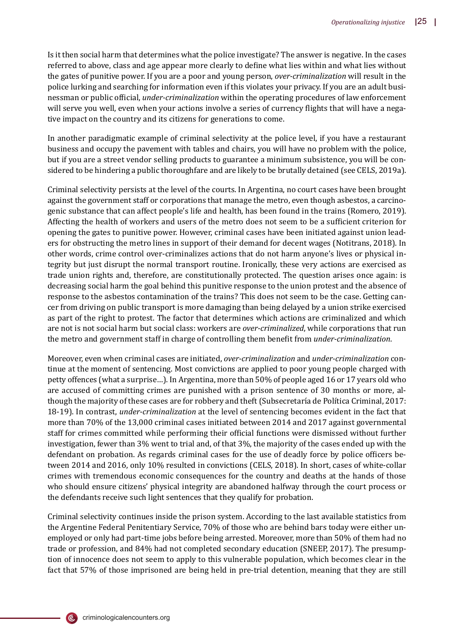Is it then social harm that determines what the police investigate? The answer is negative. In the cases referred to above, class and age appear more clearly to define what lies within and what lies without the gates of punitive power. If you are a poor and young person, *over-criminalization* will result in the police lurking and searching for information even if this violates your privacy. If you are an adult businessman or public of�icial, *under-criminalization* within the operating procedures of law enforcement will serve you well, even when your actions involve a series of currency flights that will have a negative impact on the country and its citizens for generations to come.

In another paradigmatic example of criminal selectivity at the police level, if you have a restaurant business and occupy the pavement with tables and chairs, you will have no problem with the police, but if you are a street vendor selling products to guarantee a minimum subsistence, you will be considered to be hindering a public thoroughfare and are likely to be brutally detained (see CELS, 2019a).

Criminal selectivity persists at the level of the courts. In Argentina, no court cases have been brought against the government staff or corporations that manage the metro, even though asbestos, a carcinogenic substance that can affect people's life and health, has been found in the trains (Romero, 2019). Affecting the health of workers and users of the metro does not seem to be a sufficient criterion for opening the gates to punitive power. However, criminal cases have been initiated against union leaders for obstructing the metro lines in support of their demand for decent wages (Notitrans, 2018). In other words, crime control over-criminalizes actions that do not harm anyone's lives or physical integrity but just disrupt the normal transport routine. Ironically, these very actions are exercised as trade union rights and, therefore, are constitutionally protected. The question arises once again: is decreasing social harm the goal behind this punitive response to the union protest and the absence of response to the asbestos contamination of the trains? This does not seem to be the case. Getting cancer from driving on public transport is more damaging than being delayed by a union strike exercised as part of the right to protest. The factor that determines which actions are criminalized and which are not is not social harm but social class: workers are *over-criminalized*, while corporations that run the metro and government staff in charge of controlling them bene�it from *under-criminalization*.

Moreover, even when criminal cases are initiated, *over-criminalization* and *under-criminalization* continue at the moment of sentencing. Most convictions are applied to poor young people charged with petty offences (what a surprise…). In Argentina, more than 50% of people aged 16 or 17 years old who are accused of committing crimes are punished with a prison sentence of 30 months or more, although the majority of these cases are for robbery and theft (Subsecretaría de Política Criminal, 2017: 18-19). In contrast, *under-criminalization* at the level of sentencing becomes evident in the fact that more than 70% of the 13,000 criminal cases initiated between 2014 and 2017 against governmental staff for crimes committed while performing their official functions were dismissed without further investigation, fewer than 3% went to trial and, of that 3%, the majority of the cases ended up with the defendant on probation. As regards criminal cases for the use of deadly force by police officers between 2014 and 2016, only 10% resulted in convictions (CELS, 2018). In short, cases of white-collar crimes with tremendous economic consequences for the country and deaths at the hands of those who should ensure citizens' physical integrity are abandoned halfway through the court process or the defendants receive such light sentences that they qualify for probation.

Criminal selectivity continues inside the prison system. According to the last available statistics from the Argentine Federal Penitentiary Service, 70% of those who are behind bars today were either unemployed or only had part-time jobs before being arrested. Moreover, more than 50% of them had no trade or profession, and 84% had not completed secondary education (SNEEP, 2017). The presumption of innocence does not seem to apply to this vulnerable population, which becomes clear in the fact that 57% of those imprisoned are being held in pre-trial detention, meaning that they are still

(Ē,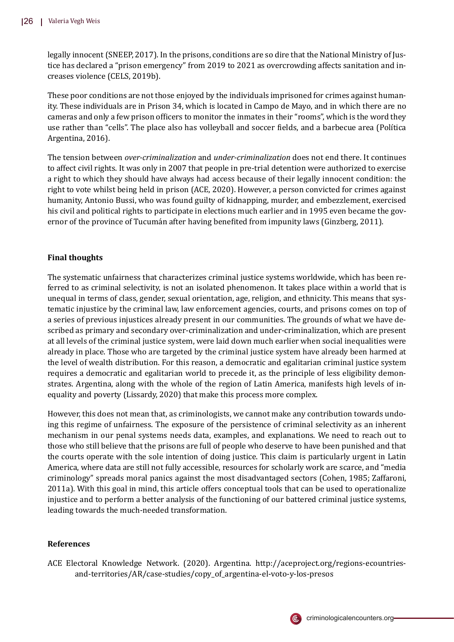legally innocent (SNEEP, 2017). In the prisons, conditions are so dire that the National Ministry of Justice has declared a "prison emergency" from 2019 to 2021 as overcrowding affects sanitation and increases violence (CELS, 2019b).

These poor conditions are not those enjoyed by the individuals imprisoned for crimes against humanity. These individuals are in Prison 34, which is located in Campo de Mayo, and in which there are no cameras and only a few prison of�icers to monitor the inmates in their "rooms", which is the word they use rather than "cells". The place also has volleyball and soccer �ields, and a barbecue area (Polı́tica Argentina, 2016).

The tension between *over-criminalization* and *under-criminalization* does not end there. It continues to affect civil rights. It was only in 2007 that people in pre-trial detention were authorized to exercise a right to which they should have always had access because of their legally innocent condition: the right to vote whilst being held in prison (ACE, 2020). However, a person convicted for crimes against humanity, Antonio Bussi, who was found guilty of kidnapping, murder, and embezzlement, exercised his civil and political rights to participate in elections much earlier and in 1995 even became the governor of the province of Tucumán after having bene�ited from impunity laws (Ginzberg, 2011).

## **Final thoughts**

The systematic unfairness that characterizes criminal justice systems worldwide, which has been referred to as criminal selectivity, is not an isolated phenomenon. It takes place within a world that is unequal in terms of class, gender, sexual orientation, age, religion, and ethnicity. This means that systematic injustice by the criminal law, law enforcement agencies, courts, and prisons comes on top of a series of previous injustices already present in our communities. The grounds of what we have described as primary and secondary over-criminalization and under-criminalization, which are present at all levels of the criminal justice system, were laid down much earlier when social inequalities were already in place. Those who are targeted by the criminal justice system have already been harmed at the level of wealth distribution. For this reason, a democratic and egalitarian criminal justice system requires a democratic and egalitarian world to precede it, as the principle of less eligibility demonstrates. Argentina, along with the whole of the region of Latin America, manifests high levels of inequality and poverty (Lissardy, 2020) that make this process more complex.

However, this does not mean that, as criminologists, we cannot make any contribution towards undoing this regime of unfairness. The exposure of the persistence of criminal selectivity as an inherent mechanism in our penal systems needs data, examples, and explanations. We need to reach out to those who still believe that the prisons are full of people who deserve to have been punished and that the courts operate with the sole intention of doing justice. This claim is particularly urgent in Latin America, where data are still not fully accessible, resources for scholarly work are scarce, and "media criminology" spreads moral panics against the most disadvantaged sectors (Cohen, 1985; Zaffaroni, 2011a). With this goal in mind, this article offers conceptual tools that can be used to operationalize injustice and to perform a better analysis of the functioning of our battered criminal justice systems, leading towards the much-needed transformation.

## **References**

ACE Electoral Knowledge Network. (2020). Argentina. http://aceproject.org/regions-ecountriesand-territories/AR/case-studies/copy\_of\_argentina-el-voto-y-los-presos

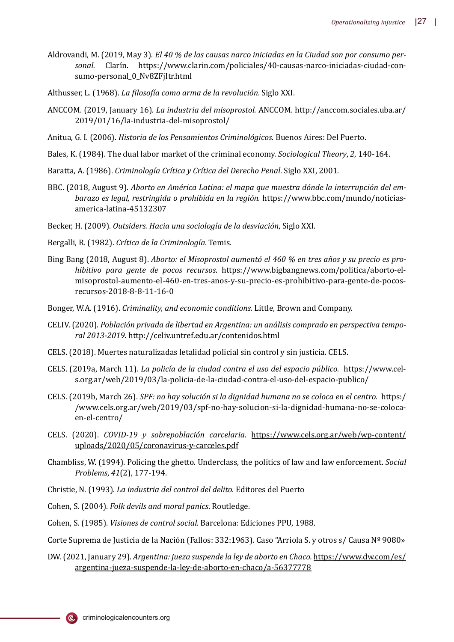- Aldrovandi, M. (2019, May 3). *El 40 % de las causas narco iniciadas en la Ciudad son por consumo per*sonal. Clarín. https://www.clarin.com/policiales/40-causas-narco-iniciadas-ciudad-consumo-personal\_0\_Nv8ZFjItr.html
- Althusser, L. (1968). *La �iloso�ía como arma de la revolución*. Siglo XXI.
- ANCCOM. (2019, January 16). *La industria del misoprostol.* ANCCOM. http://anccom.sociales.uba.ar/ 2019/01/16/la-industria-del-misoprostol/
- Anitua, G. I. (2006). *Historia de los Pensamientos Criminológicos*. Buenos Aires: Del Puerto.
- Bales, K. (1984). The dual labor market of the criminal economy. *Sociological Theory*, *2*, 140-164.
- Baratta, A. (1986). *Criminología Crítica y Crítica del Derecho Penal*. Siglo XXI, 2001.
- BBC. (2018, August 9). *Aborto en América Latina: el mapa que muestra dónde la interrupción del embarazo es legal, restringida o prohibida en la región.* https://www.bbc.com/mundo/noticiasamerica-latina-45132307
- Becker, H. (2009). *Outsiders. Hacia una sociología de la desviación*, Siglo XXI.
- Bergalli, R. (1982). *Crítica de la Criminología*. Temis.
- Bing Bang (2018, August 8). *Aborto: el Misoprostol aumentó el 460 % en tres años y su precio es prohibitivo para gente de pocos recursos*. https://www.bigbangnews.com/politica/aborto-elmisoprostol-aumento-el-460-en-tres-anos-y-su-precio-es-prohibitivo-para-gente-de-pocosrecursos-2018-8-8-11-16-0
- Bonger, W.A. (1916). *Criminality, and economic conditions.* Little, Brown and Company.
- CELIV. (2020). *Población privada de libertad en Argentina: un análisis comprado en perspectiva temporal 2013-2019*. http://celiv.untref.edu.ar/contenidos.html
- CELS. (2018). Muertes naturalizadas letalidad policial sin control y sin justicia. CELS.
- CELS. (2019a, March 11). *La policía de la ciudad contra el uso del espacio público.* https://www.cels.org.ar/web/2019/03/la-policia-de-la-ciudad-contra-el-uso-del-espacio-publico/
- CELS. (2019b, March 26). *SPF: no hay solución si la dignidad humana no se coloca en el centro.* https:/ /www.cels.org.ar/web/2019/03/spf-no-hay-solucion-si-la-dignidad-humana-no-se-colocaen-el-centro/
- CELS. (2020). *COVID-19 y sobrepoblación carcelaria*. https://www.cels.org.ar/web/wp-content/ uploads/2020/05/coronavirus-y-carceles.pdf
- Chambliss, W. (1994). Policing the ghetto. Underclass, the politics of law and law enforcement. *Social Problems*, *41*(2), 177-194.
- Christie, N. (1993). *La industria del control del delito.* Editores del Puerto
- Cohen, S. (2004). *Folk devils and moral panics*. Routledge.

Cohen, S. (1985). *Visiones de control social*. Barcelona: Ediciones PPU, 1988.

Corte Suprema de Justicia de la Nación (Fallos: 332:1963). Caso "Arriola S. y otros s/ Causa Nº 9080»

DW. (2021, January 29). *Argentina: jueza suspende la ley de aborto en Chaco.* https://www.dw.com/es/ argentina-jueza-suspende-la-ley-de-aborto-en-chaco/a-56377778



(@,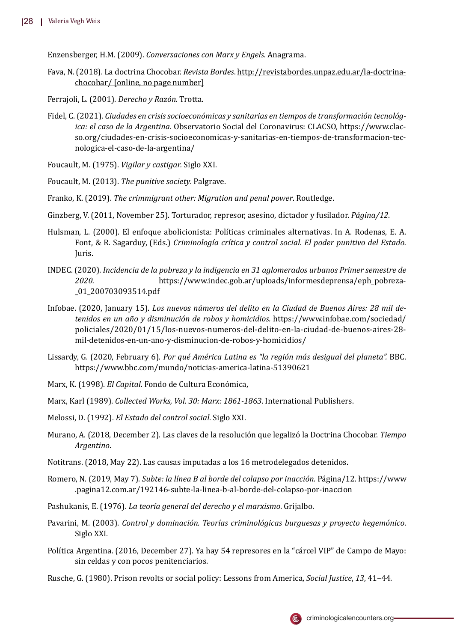Enzensberger, H.M. (2009). *Conversaciones con Marx y Engels.* Anagrama.

Fava, N. (2018). La doctrina Chocobar. *Revista Bordes*. http://revistabordes.unpaz.edu.ar/la-doctrinachocobar/ [online, no page number]

Ferrajoli, L. (2001). *Derecho y Razón*. Trotta.

- Fidel, C. (2021). *Ciudades en crisis socioeconómicas y sanitarias en tiempos de transformación tecnológica: el caso de la Argentina.* Observatorio Social del Coronavirus: CLACSO, https://www.clacso.org/ciudades-en-crisis-socioeconomicas-y-sanitarias-en-tiempos-de-transformacion-tecnologica-el-caso-de-la-argentina/
- Foucault, M. (1975). *Vigilar y castigar.* Siglo XXI.
- Foucault, M. (2013). *The punitive society*. Palgrave.
- Franko, K. (2019). *The crimmigrant other: Migration and penal power*. Routledge.
- Ginzberg, V. (2011, November 25). Torturador, represor, asesino, dictador y fusilador. *Página/12*.
- Hulsman, L. (2000). El enfoque abolicionista: Políticas criminales alternativas. In A. Rodenas, E. A. Font, & R. Sagarduy, (Eds.) *Criminología crítica y control social. El poder punitivo del Estado.* Juris.
- INDEC. (2020). *Incidencia de la pobreza y la indigencia en 31 aglomerados urbanos Primer semestre de 2020.* https://www.indec.gob.ar/uploads/informesdeprensa/eph\_pobreza- \_01\_200703093514.pdf
- Infobae. (2020, January 15). *Los nuevos números del delito en la Ciudad de Buenos Aires: 28 mil detenidos en un año y disminución de robos y homicidios.* https://www.infobae.com/sociedad/ policiales/2020/01/15/los-nuevos-numeros-del-delito-en-la-ciudad-de-buenos-aires-28 mil-detenidos-en-un-ano-y-disminucion-de-robos-y-homicidios/
- Lissardy, G. (2020, February 6). *Por qué América Latina es "la región más desigual del planeta".* BBC. https://www.bbc.com/mundo/noticias-america-latina-51390621
- Marx, K. (1998). *El Capital*. Fondo de Cultura Económica,
- Marx, Karl (1989). *Collected Works, Vol. 30: Marx: 1861-1863*. International Publishers.
- Melossi, D. (1992). *El Estado del control social*. Siglo XXI.
- Murano, A. (2018, December 2). Las claves de la resolució n que legalizó la Doctrina Chocobar. *Tiempo Argentino*.
- Notitrans. (2018, May 22). Las causas imputadas a los 16 metrodelegados detenidos.
- Romero, N. (2019, May 7). *Subte: la línea B al borde del colapso por inacción.* Página/12. https://www .pagina12.com.ar/192146-subte-la-linea-b-al-borde-del-colapso-por-inaccion
- Pashukanis, E. (1976). *La teoría general del derecho y el marxismo*. Grijalbo.
- Pavarini, M. (2003). *Control y dominación. Teorías criminológicas burguesas y proyecto hegemónico*. Siglo XXI.
- Política Argentina. (2016, December 27). Ya hay 54 represores en la "cárcel VIP" de Campo de Mayo: sin celdas y con pocos penitenciarios.
- Rusche, G. (1980). Prison revolts or social policy: Lessons from America, *Social Justice*, *13*, 41–44.

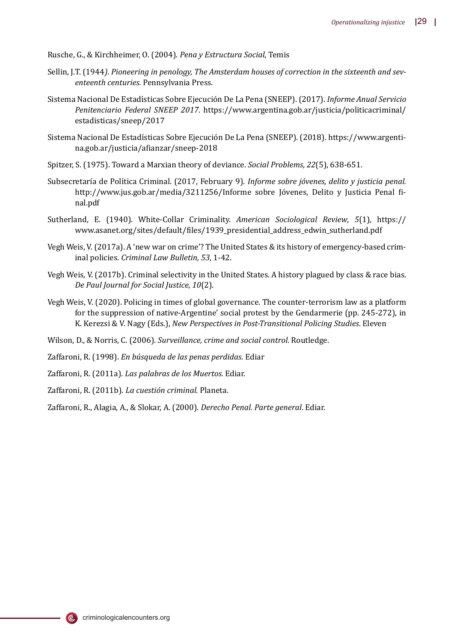Rusche, G., & Kirchheimer, O. (2004). *Pena y Estructura Social*, Temis

- Sellin, J.T. (1944*)*. *Pioneering in penology, The Amsterdam houses of correction in the sixteenth and seventeenth centuries*. Pennsylvania Press.
- Sistema Nacional De Estadı́sticas Sobre Ejecució n De La Pena (SNEEP). (2017). *Informe Anual Servicio Penitenciario Federal SNEEP 2017*. https://www.argentina.gob.ar/justicia/politicacriminal/ estadisticas/sneep/2017
- Sistema Nacional De Estadísticas Sobre Ejecución De La Pena (SNEEP). (2018). https://www.argentina.gob.ar/justicia/a�ianzar/sneep-2018
- Spitzer, S. (1975). Toward a Marxian theory of deviance. *Social Problems*, *22*(5), 638-651.
- Subsecretarı́a de Polı́tica Criminal. (2017, February 9). *Informe sobre jóvenes, delito y justicia penal.* http://www.jus.gob.ar/media/3211256/Informe sobre Jóvenes, Delito y Justicia Penal final.pdf
- Sutherland, E. (1940). White-Collar Criminality. *American Sociological Review*, *5*(1), https:// www.asanet.org/sites/default/�iles/1939\_presidential\_address\_edwin\_sutherland.pdf
- Vegh Weis, V. (2017a). A 'new war on crime'? The United States & its history of emergency-based criminal policies. *Criminal Law Bulletin, 53*, 1-42.
- Vegh Weis, V. (2017b). Criminal selectivity in the United States. A history plagued by class & race bias. *De Paul Journal for Social Justice*, *10*(2).
- Vegh Weis, V. (2020). Policing in times of global governance. The counter-terrorism law as a platform for the suppression of native-Argentine' social protest by the Gendarmerie (pp. 245-272), in K. Kerezsi & V. Nagy (Eds.), *New Perspectives in Post-Transitional Policing Studies*. Eleven
- Wilson, D., & Norris, C. (2006). *Surveillance, crime and social control*. Routledge.
- Zaffaroni, R. (1998). *En búsqueda de las penas perdidas*. Ediar
- Zaffaroni, R. (2011a). *Las palabras de los Muertos.* Ediar.
- Zaffaroni, R. (2011b). *La cuestión criminal.* Planeta.
- Zaffaroni, R., Alagia, A., & Slokar, A. (2000). *Derecho Penal. Parte general*. Ediar.